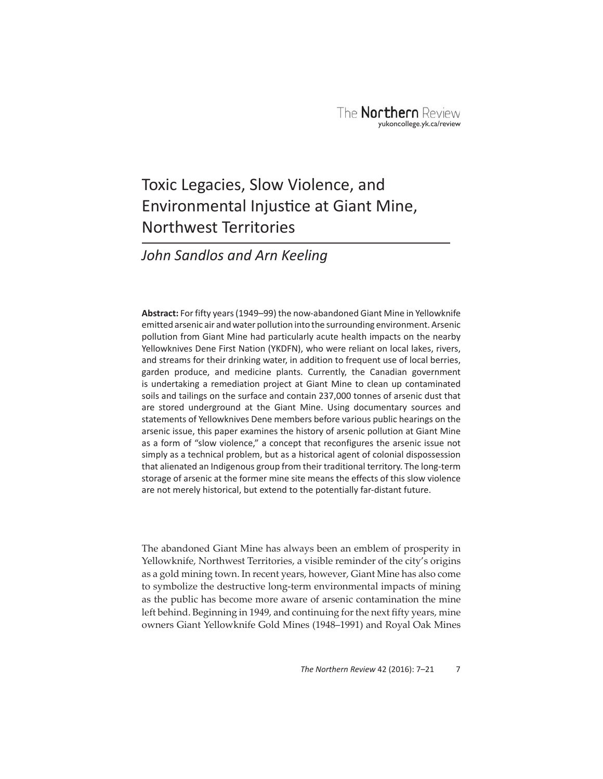# Toxic Legacies, Slow Violence, and Environmental Injustice at Giant Mine, Northwest Territories

# *John Sandlos and Arn Keeling*

**Abstract:** For fifty years (1949–99) the now-abandoned Giant Mine in Yellowknife emitted arsenic air and water pollution into the surrounding environment. Arsenic pollution from Giant Mine had particularly acute health impacts on the nearby Yellowknives Dene First Nation (YKDFN), who were reliant on local lakes, rivers, and streams for their drinking water, in addition to frequent use of local berries, garden produce, and medicine plants. Currently, the Canadian government is undertaking a remediation project at Giant Mine to clean up contaminated soils and tailings on the surface and contain 237,000 tonnes of arsenic dust that are stored underground at the Giant Mine. Using documentary sources and statements of Yellowknives Dene members before various public hearings on the arsenic issue, this paper examines the history of arsenic pollution at Giant Mine as a form of "slow violence," a concept that reconfigures the arsenic issue not simply as a technical problem, but as a historical agent of colonial dispossession that alienated an Indigenous group from their traditional territory. The long-term storage of arsenic at the former mine site means the effects of this slow violence are not merely historical, but extend to the potentially far-distant future.

 The abandoned Giant Mine has always been an emblem of prosperity in Yellowknife, Northwest Territories, a visible reminder of the city's origins as a gold mining town. In recent years, however, Giant Mine has also come to symbolize the destructive long-term environmental impacts of mining as the public has become more aware of arsenic contamination the mine left behind. Beginning in 1949, and continuing for the next fifty years, mine owners Giant Yellowknife Gold Mines (1948–1991) and Royal Oak Mines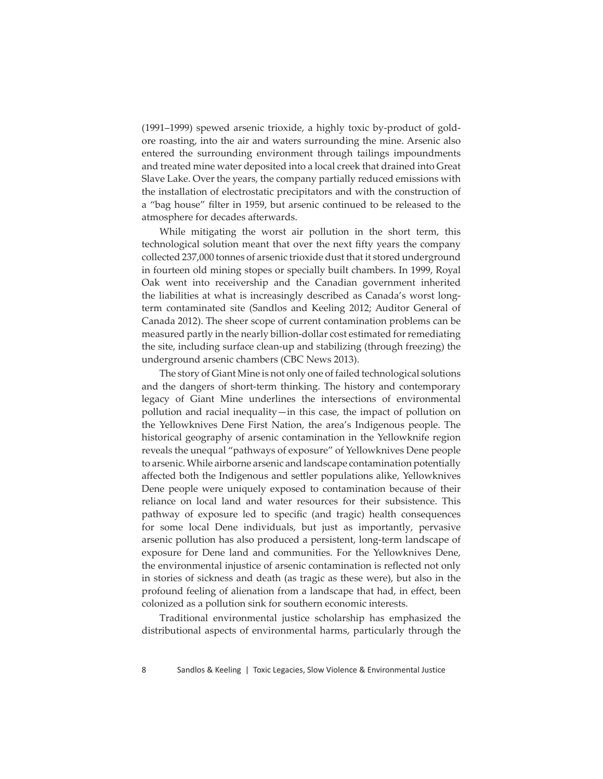(1991–1999) spewed arsenic trioxide, a highly toxic by-product of goldore roasting, into the air and waters surrounding the mine. Arsenic also entered the surrounding environment through tailings impoundments and treated mine water deposited into a local creek that drained into Great Slave Lake. Over the years, the company partially reduced emissions with the installation of electrostatic precipitators and with the construction of a "bag house" filter in 1959, but arsenic continued to be released to the atmosphere for decades afterwards.

While mitigating the worst air pollution in the short term, this technological solution meant that over the next fifty years the company collected 237,000 tonnes of arsenic trioxide dust that it stored underground in fourteen old mining stopes or specially built chambers. In 1999, Royal Oak went into receivership and the Canadian government inherited the liabilities at what is increasingly described as Canada's worst longterm contaminated site (Sandlos and Keeling 2012; Auditor General of Canada 2012). The sheer scope of current contamination problems can be measured partly in the nearly billion-dollar cost estimated for remediating the site, including surface clean-up and stabilizing (through freezing) the underground arsenic chambers (CBC News 2013).

The story of Giant Mine is not only one of failed technological solutions and the dangers of short-term thinking. The history and contemporary legacy of Giant Mine underlines the intersections of environmental pollution and racial inequality—in this case, the impact of pollution on the Yellowknives Dene First Nation, the area's Indigenous people. The historical geography of arsenic contamination in the Yellowknife region reveals the unequal "pathways of exposure" of Yellowknives Dene people to arsenic. While airborne arsenic and landscape contamination potentially affected both the Indigenous and settler populations alike, Yellowknives Dene people were uniquely exposed to contamination because of their reliance on local land and water resources for their subsistence. This pathway of exposure led to specific (and tragic) health consequences for some local Dene individuals, but just as importantly, pervasive arsenic pollution has also produced a persistent, long-term landscape of exposure for Dene land and communities. For the Yellowknives Dene, the environmental injustice of arsenic contamination is reflected not only in stories of sickness and death (as tragic as these were), but also in the profound feeling of alienation from a landscape that had, in effect, been colonized as a pollution sink for southern economic interests.

Traditional environmental justice scholarship has emphasized the distributional aspects of environmental harms, particularly through the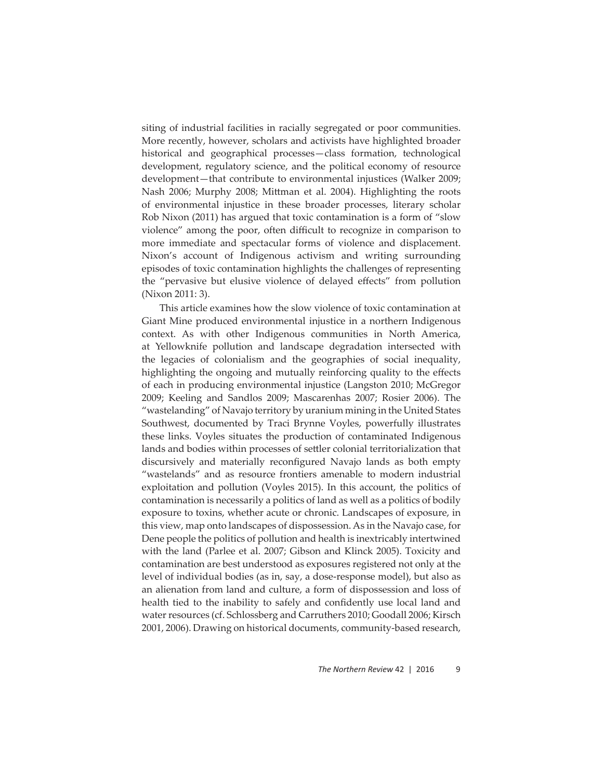siting of industrial facilities in racially segregated or poor communities. More recently, however, scholars and activists have highlighted broader historical and geographical processes—class formation, technological development, regulatory science, and the political economy of resource development—that contribute to environmental injustices (Walker 2009; Nash 2006; Murphy 2008; Mittman et al. 2004). Highlighting the roots of environmental injustice in these broader processes, literary scholar Rob Nixon (2011) has argued that toxic contamination is a form of "slow violence" among the poor, often difficult to recognize in comparison to more immediate and spectacular forms of violence and displacement. Nixon's account of Indigenous activism and writing surrounding episodes of toxic contamination highlights the challenges of representing the "pervasive but elusive violence of delayed effects" from pollution (Nixon 2011: 3).

This article examines how the slow violence of toxic contamination at Giant Mine produced environmental injustice in a northern Indigenous context. As with other Indigenous communities in North America, at Yellowknife pollution and landscape degradation intersected with the legacies of colonialism and the geographies of social inequality, highlighting the ongoing and mutually reinforcing quality to the effects of each in producing environmental injustice (Langston 2010; McGregor 2009; Keeling and Sandlos 2009; Mascarenhas 2007; Rosier 2006). The "wastelanding" of Navajo territory by uranium mining in the United States Southwest, documented by Traci Brynne Voyles, powerfully illustrates these links. Voyles situates the production of contaminated Indigenous lands and bodies within processes of settler colonial territorialization that discursively and materially reconfigured Navajo lands as both empty "wastelands" and as resource frontiers amenable to modern industrial exploitation and pollution (Voyles 2015). In this account, the politics of contamination is necessarily a politics of land as well as a politics of bodily exposure to toxins, whether acute or chronic. Landscapes of exposure, in this view, map onto landscapes of dispossession. As in the Navajo case, for Dene people the politics of pollution and health is inextricably intertwined with the land (Parlee et al. 2007; Gibson and Klinck 2005). Toxicity and contamination are best understood as exposures registered not only at the level of individual bodies (as in, say, a dose-response model), but also as an alienation from land and culture, a form of dispossession and loss of health tied to the inability to safely and confidently use local land and water resources (cf. Schlossberg and Carruthers 2010; Goodall 2006; Kirsch 2001, 2006). Drawing on historical documents, community-based research,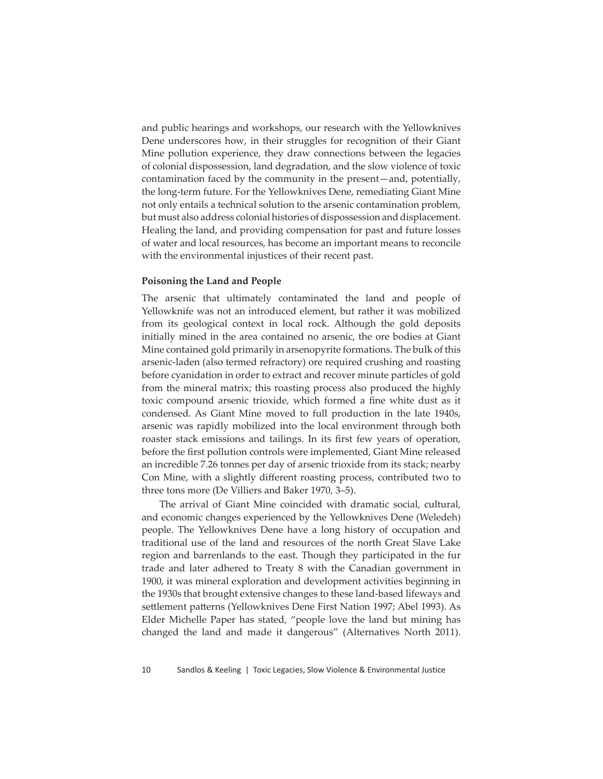and public hearings and workshops, our research with the Yellowknives Dene underscores how, in their struggles for recognition of their Giant Mine pollution experience, they draw connections between the legacies of colonial dispossession, land degradation, and the slow violence of toxic contamination faced by the community in the present—and, potentially, the long-term future. For the Yellowknives Dene, remediating Giant Mine not only entails a technical solution to the arsenic contamination problem, but must also address colonial histories of dispossession and displacement. Healing the land, and providing compensation for past and future losses of water and local resources, has become an important means to reconcile with the environmental injustices of their recent past.

#### **Poisoning the Land and People**

The arsenic that ultimately contaminated the land and people of Yellowknife was not an introduced element, but rather it was mobilized from its geological context in local rock. Although the gold deposits initially mined in the area contained no arsenic, the ore bodies at Giant Mine contained gold primarily in arsenopyrite formations. The bulk of this arsenic-laden (also termed refractory) ore required crushing and roasting before cyanidation in order to extract and recover minute particles of gold from the mineral matrix; this roasting process also produced the highly toxic compound arsenic trioxide, which formed a fine white dust as it condensed. As Giant Mine moved to full production in the late 1940s, arsenic was rapidly mobilized into the local environment through both roaster stack emissions and tailings. In its first few years of operation, before the first pollution controls were implemented, Giant Mine released an incredible 7.26 tonnes per day of arsenic trioxide from its stack; nearby Con Mine, with a slightly different roasting process, contributed two to three tons more (De Villiers and Baker 1970, 3–5).

The arrival of Giant Mine coincided with dramatic social, cultural, and economic changes experienced by the Yellowknives Dene (Weledeh) people. The Yellowknives Dene have a long history of occupation and traditional use of the land and resources of the north Great Slave Lake region and barrenlands to the east. Though they participated in the fur trade and later adhered to Treaty 8 with the Canadian government in 1900, it was mineral exploration and development activities beginning in the 1930s that brought extensive changes to these land-based lifeways and settlement patterns (Yellowknives Dene First Nation 1997; Abel 1993). As Elder Michelle Paper has stated, "people love the land but mining has changed the land and made it dangerous" (Alternatives North 2011).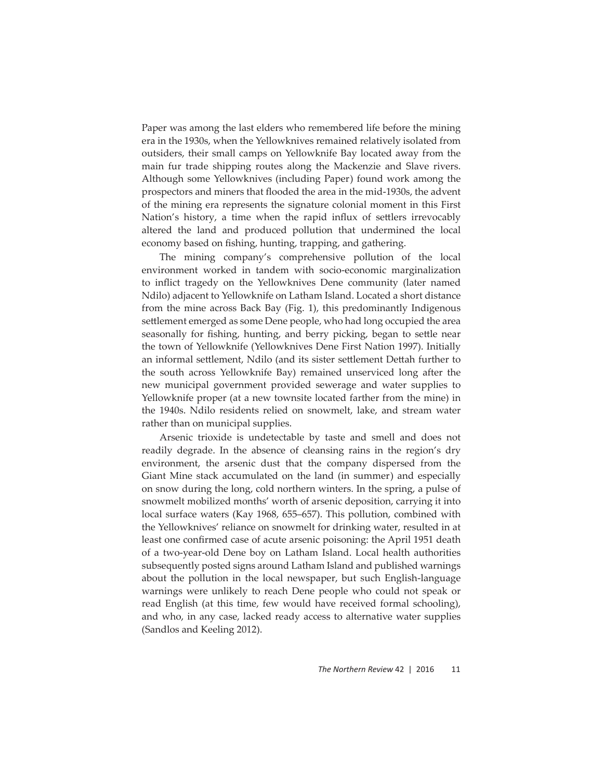Paper was among the last elders who remembered life before the mining era in the 1930s, when the Yellowknives remained relatively isolated from outsiders, their small camps on Yellowknife Bay located away from the main fur trade shipping routes along the Mackenzie and Slave rivers. Although some Yellowknives (including Paper) found work among the prospectors and miners that flooded the area in the mid-1930s, the advent of the mining era represents the signature colonial moment in this First Nation's history, a time when the rapid influx of settlers irrevocably altered the land and produced pollution that undermined the local economy based on fishing, hunting, trapping, and gathering.

The mining company's comprehensive pollution of the local environment worked in tandem with socio-economic marginalization to inflict tragedy on the Yellowknives Dene community (later named Ndilo) adjacent to Yellowknife on Latham Island. Located a short distance from the mine across Back Bay (Fig. 1), this predominantly Indigenous settlement emerged as some Dene people, who had long occupied the area seasonally for fishing, hunting, and berry picking, began to settle near the town of Yellowknife (Yellowknives Dene First Nation 1997). Initially an informal settlement, Ndilo (and its sister settlement Dettah further to the south across Yellowknife Bay) remained unserviced long after the new municipal government provided sewerage and water supplies to Yellowknife proper (at a new townsite located farther from the mine) in the 1940s. Ndilo residents relied on snowmelt, lake, and stream water rather than on municipal supplies.

Arsenic trioxide is undetectable by taste and smell and does not readily degrade. In the absence of cleansing rains in the region's dry environment, the arsenic dust that the company dispersed from the Giant Mine stack accumulated on the land (in summer) and especially on snow during the long, cold northern winters. In the spring, a pulse of snowmelt mobilized months' worth of arsenic deposition, carrying it into local surface waters (Kay 1968, 655–657). This pollution, combined with the Yellowknives' reliance on snowmelt for drinking water, resulted in at least one confirmed case of acute arsenic poisoning: the April 1951 death of a two-year-old Dene boy on Latham Island. Local health authorities subsequently posted signs around Latham Island and published warnings about the pollution in the local newspaper, but such English-language warnings were unlikely to reach Dene people who could not speak or read English (at this time, few would have received formal schooling), and who, in any case, lacked ready access to alternative water supplies (Sandlos and Keeling 2012).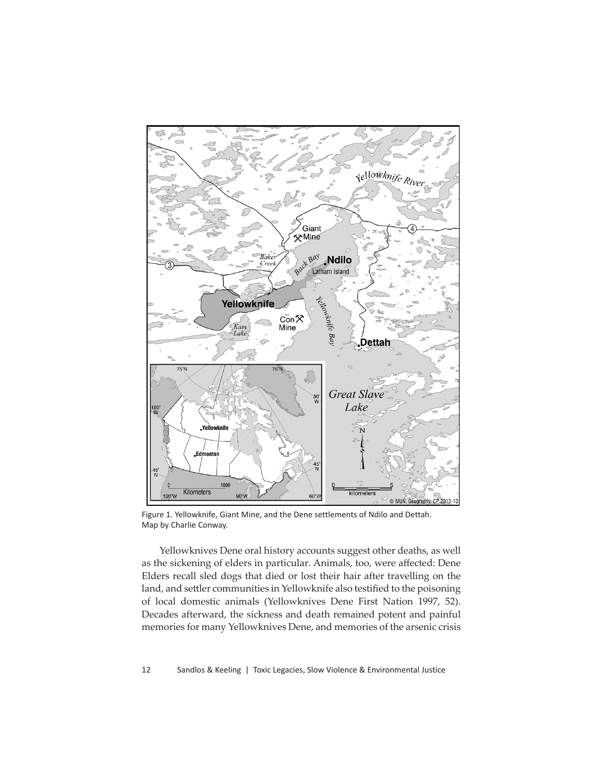

Figure 1. Yellowknife, Giant Mine, and the Dene settlements of Ndilo and Dettah. Map by Charlie Conway.

Yellowknives Dene oral history accounts suggest other deaths, as well as the sickening of elders in particular. Animals, too, were affected: Dene Elders recall sled dogs that died or lost their hair after travelling on the land, and settler communities in Yellowknife also testified to the poisoning of local domestic animals (Yellowknives Dene First Nation 1997, 52). Decades afterward, the sickness and death remained potent and painful memories for many Yellowknives Dene, and memories of the arsenic crisis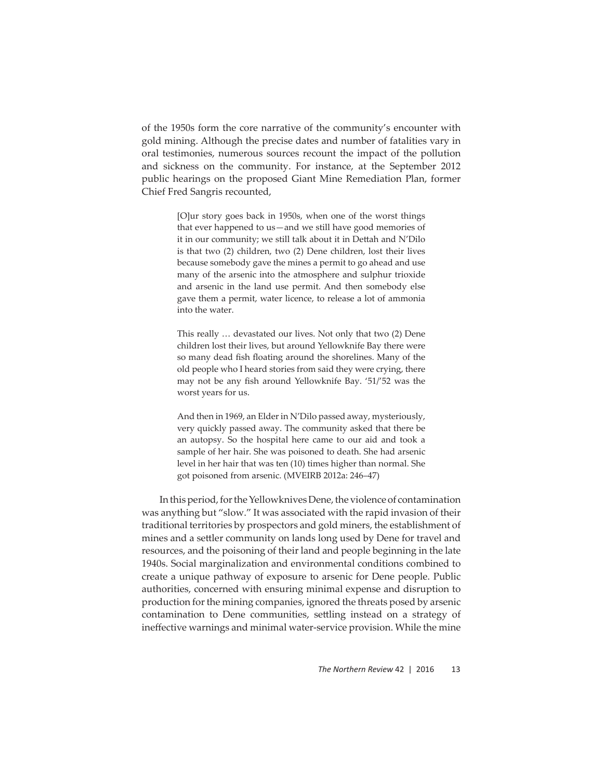of the 1950s form the core narrative of the community's encounter with gold mining. Although the precise dates and number of fatalities vary in oral testimonies, numerous sources recount the impact of the pollution and sickness on the community. For instance, at the September 2012 public hearings on the proposed Giant Mine Remediation Plan, former Chief Fred Sangris recounted,

> [O]ur story goes back in 1950s, when one of the worst things that ever happened to us—and we still have good memories of it in our community; we still talk about it in Dettah and N'Dilo is that two (2) children, two (2) Dene children, lost their lives because somebody gave the mines a permit to go ahead and use many of the arsenic into the atmosphere and sulphur trioxide and arsenic in the land use permit. And then somebody else gave them a permit, water licence, to release a lot of ammonia into the water.

> This really … devastated our lives. Not only that two (2) Dene children lost their lives, but around Yellowknife Bay there were so many dead fish floating around the shorelines. Many of the old people who I heard stories from said they were crying, there may not be any fish around Yellowknife Bay. '51/'52 was the worst years for us.

> And then in 1969, an Elder in N'Dilo passed away, mysteriously, very quickly passed away. The community asked that there be an autopsy. So the hospital here came to our aid and took a sample of her hair. She was poisoned to death. She had arsenic level in her hair that was ten (10) times higher than normal. She got poisoned from arsenic. (MVEIRB 2012a: 246–47)

In this period, for the Yellowknives Dene, the violence of contamination was anything but "slow." It was associated with the rapid invasion of their traditional territories by prospectors and gold miners, the establishment of mines and a settler community on lands long used by Dene for travel and resources, and the poisoning of their land and people beginning in the late 1940s. Social marginalization and environmental conditions combined to create a unique pathway of exposure to arsenic for Dene people. Public authorities, concerned with ensuring minimal expense and disruption to production for the mining companies, ignored the threats posed by arsenic contamination to Dene communities, settling instead on a strategy of ineffective warnings and minimal water-service provision. While the mine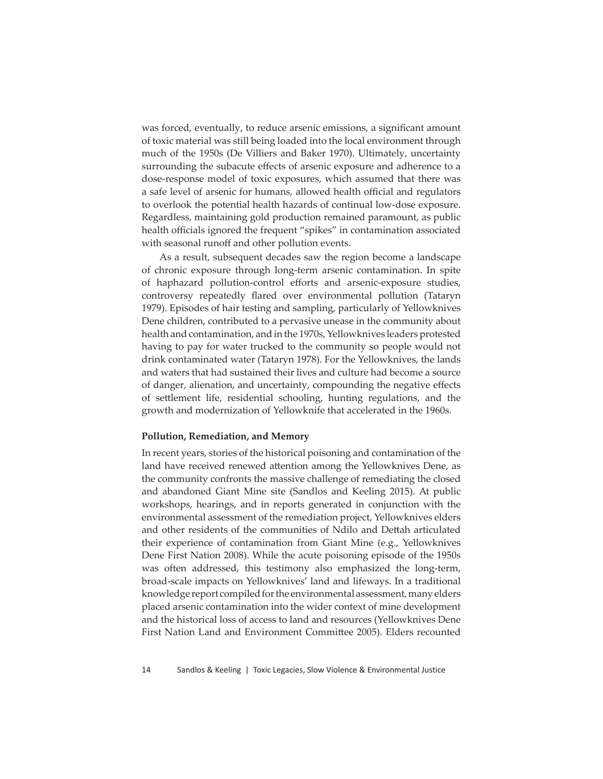was forced, eventually, to reduce arsenic emissions, a significant amount of toxic material was still being loaded into the local environment through much of the 1950s (De Villiers and Baker 1970). Ultimately, uncertainty surrounding the subacute effects of arsenic exposure and adherence to a dose-response model of toxic exposures, which assumed that there was a safe level of arsenic for humans, allowed health official and regulators to overlook the potential health hazards of continual low-dose exposure. Regardless, maintaining gold production remained paramount, as public health officials ignored the frequent "spikes" in contamination associated with seasonal runoff and other pollution events.

As a result, subsequent decades saw the region become a landscape of chronic exposure through long-term arsenic contamination. In spite of haphazard pollution-control efforts and arsenic-exposure studies, controversy repeatedly flared over environmental pollution (Tataryn 1979). Episodes of hair testing and sampling, particularly of Yellowknives Dene children, contributed to a pervasive unease in the community about health and contamination, and in the 1970s, Yellowknives leaders protested having to pay for water trucked to the community so people would not drink contaminated water (Tataryn 1978). For the Yellowknives, the lands and waters that had sustained their lives and culture had become a source of danger, alienation, and uncertainty, compounding the negative effects of settlement life, residential schooling, hunting regulations, and the growth and modernization of Yellowknife that accelerated in the 1960s.

#### **Pollution, Remediation, and Memory**

In recent years, stories of the historical poisoning and contamination of the land have received renewed attention among the Yellowknives Dene, as the community confronts the massive challenge of remediating the closed and abandoned Giant Mine site (Sandlos and Keeling 2015). At public workshops, hearings, and in reports generated in conjunction with the environmental assessment of the remediation project, Yellowknives elders and other residents of the communities of Ndilo and Dettah articulated their experience of contamination from Giant Mine (e.g., Yellowknives Dene First Nation 2008). While the acute poisoning episode of the 1950s was often addressed, this testimony also emphasized the long-term, broad-scale impacts on Yellowknives' land and lifeways. In a traditional knowledge report compiled for the environmental assessment, many elders placed arsenic contamination into the wider context of mine development and the historical loss of access to land and resources (Yellowknives Dene First Nation Land and Environment Committee 2005). Elders recounted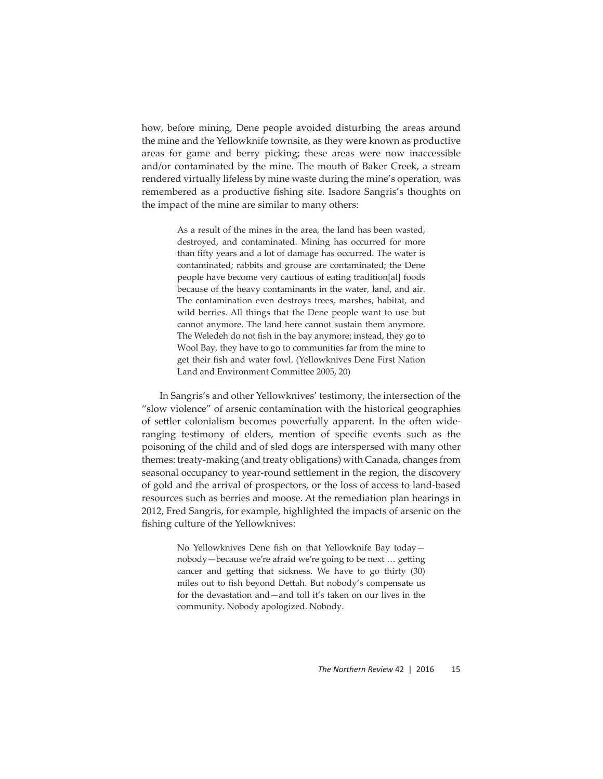how, before mining, Dene people avoided disturbing the areas around the mine and the Yellowknife townsite, as they were known as productive areas for game and berry picking; these areas were now inaccessible and/or contaminated by the mine. The mouth of Baker Creek, a stream rendered virtually lifeless by mine waste during the mine's operation, was remembered as a productive fishing site. Isadore Sangris's thoughts on the impact of the mine are similar to many others:

> As a result of the mines in the area, the land has been wasted, destroyed, and contaminated. Mining has occurred for more than fifty years and a lot of damage has occurred. The water is contaminated; rabbits and grouse are contaminated; the Dene people have become very cautious of eating tradition[al] foods because of the heavy contaminants in the water, land, and air. The contamination even destroys trees, marshes, habitat, and wild berries. All things that the Dene people want to use but cannot anymore. The land here cannot sustain them anymore. The Weledeh do not fish in the bay anymore; instead, they go to Wool Bay, they have to go to communities far from the mine to get their fish and water fowl. (Yellowknives Dene First Nation Land and Environment Committee 2005, 20)

In Sangris's and other Yellowknives' testimony, the intersection of the "slow violence" of arsenic contamination with the historical geographies of settler colonialism becomes powerfully apparent. In the often wideranging testimony of elders, mention of specific events such as the poisoning of the child and of sled dogs are interspersed with many other themes: treaty-making (and treaty obligations) with Canada, changes from seasonal occupancy to year-round settlement in the region, the discovery of gold and the arrival of prospectors, or the loss of access to land-based resources such as berries and moose. At the remediation plan hearings in 2012, Fred Sangris, for example, highlighted the impacts of arsenic on the fishing culture of the Yellowknives:

> No Yellowknives Dene fish on that Yellowknife Bay todaynobody—because we're afraid we're going to be next ... getting cancer and getting that sickness. We have to go thirty (30) miles out to fish beyond Dettah. But nobody's compensate us for the devastation and—and toll it's taken on our lives in the community. Nobody apologized. Nobody.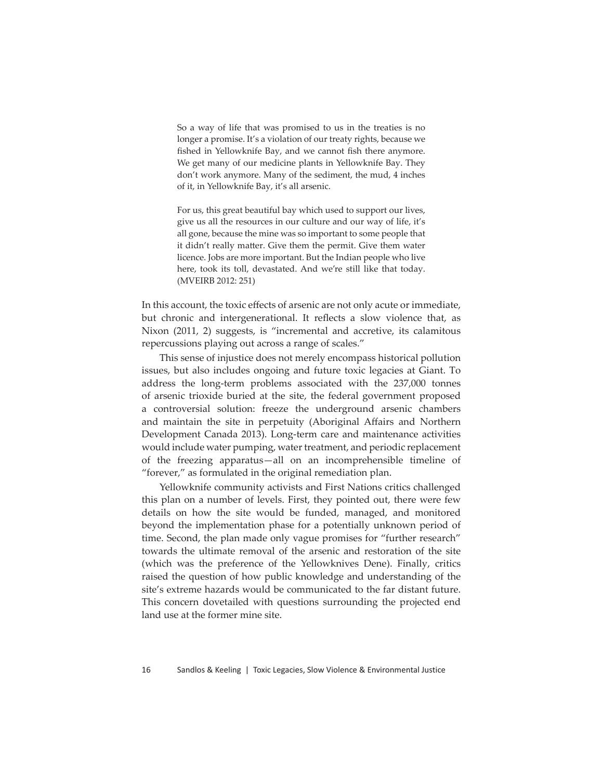So a way of life that was promised to us in the treaties is no longer a promise. It's a violation of our treaty rights, because we fished in Yellowknife Bay, and we cannot fish there anymore. We get many of our medicine plants in Yellowknife Bay. They don't work anymore. Many of the sediment, the mud, 4 inches of it, in Yellowknife Bay, it's all arsenic.

For us, this great beautiful bay which used to support our lives, give us all the resources in our culture and our way of life, it's all gone, because the mine was so important to some people that it didn't really matter. Give them the permit. Give them water licence. Jobs are more important. But the Indian people who live here, took its toll, devastated. And we're still like that today. (MVEIRB 2012: 251)

In this account, the toxic effects of arsenic are not only acute or immediate, but chronic and intergenerational. It reflects a slow violence that, as Nixon (2011, 2) suggests, is "incremental and accretive, its calamitous repercussions playing out across a range of scales."

This sense of injustice does not merely encompass historical pollution issues, but also includes ongoing and future toxic legacies at Giant. To address the long-term problems associated with the 237,000 tonnes of arsenic trioxide buried at the site, the federal government proposed a controversial solution: freeze the underground arsenic chambers and maintain the site in perpetuity (Aboriginal Affairs and Northern Development Canada 2013). Long-term care and maintenance activities would include water pumping, water treatment, and periodic replacement of the freezing apparatus—all on an incomprehensible timeline of "forever," as formulated in the original remediation plan.

Yellowknife community activists and First Nations critics challenged this plan on a number of levels. First, they pointed out, there were few details on how the site would be funded, managed, and monitored beyond the implementation phase for a potentially unknown period of time. Second, the plan made only vague promises for "further research" towards the ultimate removal of the arsenic and restoration of the site (which was the preference of the Yellowknives Dene). Finally, critics raised the question of how public knowledge and understanding of the site's extreme hazards would be communicated to the far distant future. This concern dovetailed with questions surrounding the projected end land use at the former mine site.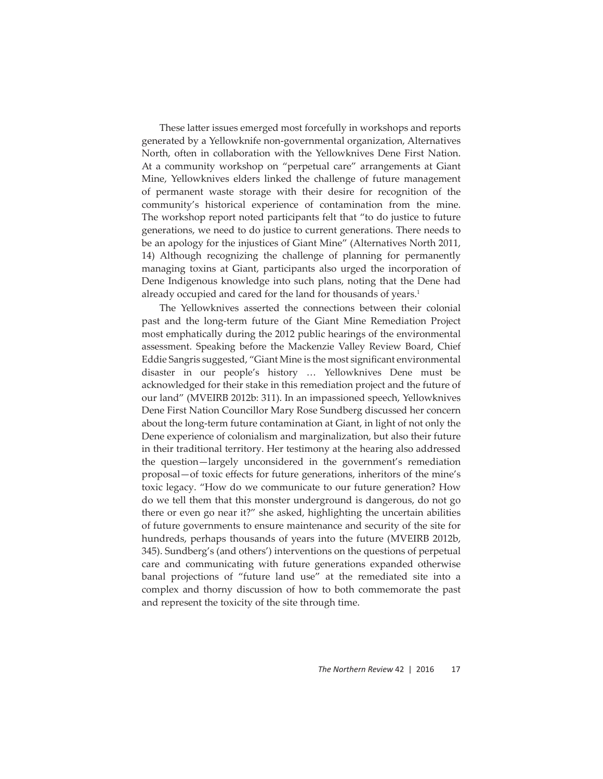These latter issues emerged most forcefully in workshops and reports generated by a Yellowknife non-governmental organization, Alternatives North, often in collaboration with the Yellowknives Dene First Nation. At a community workshop on "perpetual care" arrangements at Giant Mine, Yellowknives elders linked the challenge of future management of permanent waste storage with their desire for recognition of the community's historical experience of contamination from the mine. The workshop report noted participants felt that "to do justice to future generations, we need to do justice to current generations. There needs to be an apology for the injustices of Giant Mine" (Alternatives North 2011, 14) Although recognizing the challenge of planning for permanently managing toxins at Giant, participants also urged the incorporation of Dene Indigenous knowledge into such plans, noting that the Dene had already occupied and cared for the land for thousands of years.<sup>1</sup>

The Yellowknives asserted the connections between their colonial past and the long-term future of the Giant Mine Remediation Project most emphatically during the 2012 public hearings of the environmental assessment. Speaking before the Mackenzie Valley Review Board, Chief Eddie Sangris suggested, "Giant Mine is the most significant environmental disaster in our people's history … Yellowknives Dene must be acknowledged for their stake in this remediation project and the future of our land" (MVEIRB 2012b: 311). In an impassioned speech, Yellowknives Dene First Nation Councillor Mary Rose Sundberg discussed her concern about the long-term future contamination at Giant, in light of not only the Dene experience of colonialism and marginalization, but also their future in their traditional territory. Her testimony at the hearing also addressed the question—largely unconsidered in the government's remediation proposal—of toxic effects for future generations, inheritors of the mine's toxic legacy. "How do we communicate to our future generation? How do we tell them that this monster underground is dangerous, do not go there or even go near it?" she asked, highlighting the uncertain abilities of future governments to ensure maintenance and security of the site for hundreds, perhaps thousands of years into the future (MVEIRB 2012b, 345). Sundberg's (and others') interventions on the questions of perpetual care and communicating with future generations expanded otherwise banal projections of "future land use" at the remediated site into a complex and thorny discussion of how to both commemorate the past and represent the toxicity of the site through time.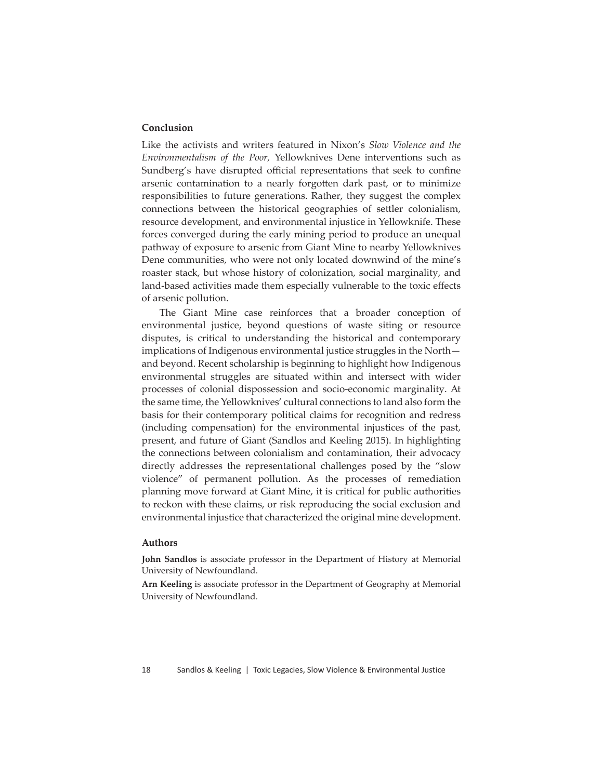### **Conclusion**

Like the activists and writers featured in Nixon's *Slow Violence and the Environmentalism of the Poor,* Yellowknives Dene interventions such as Sundberg's have disrupted official representations that seek to confine arsenic contamination to a nearly forgotten dark past, or to minimize responsibilities to future generations. Rather, they suggest the complex connections between the historical geographies of settler colonialism, resource development, and environmental injustice in Yellowknife. These forces converged during the early mining period to produce an unequal pathway of exposure to arsenic from Giant Mine to nearby Yellowknives Dene communities, who were not only located downwind of the mine's roaster stack, but whose history of colonization, social marginality, and land-based activities made them especially vulnerable to the toxic effects of arsenic pollution.

The Giant Mine case reinforces that a broader conception of environmental justice, beyond questions of waste siting or resource disputes, is critical to understanding the historical and contemporary implications of Indigenous environmental justice struggles in the North and beyond. Recent scholarship is beginning to highlight how Indigenous environmental struggles are situated within and intersect with wider processes of colonial dispossession and socio-economic marginality. At the same time, the Yellowknives' cultural connections to land also form the basis for their contemporary political claims for recognition and redress (including compensation) for the environmental injustices of the past, present, and future of Giant (Sandlos and Keeling 2015). In highlighting the connections between colonialism and contamination, their advocacy directly addresses the representational challenges posed by the "slow violence" of permanent pollution. As the processes of remediation planning move forward at Giant Mine, it is critical for public authorities to reckon with these claims, or risk reproducing the social exclusion and environmental injustice that characterized the original mine development.

#### **Authors**

**John Sandlos** is associate professor in the Department of History at Memorial University of Newfoundland.

**Arn Keeling** is associate professor in the Department of Geography at Memorial University of Newfoundland.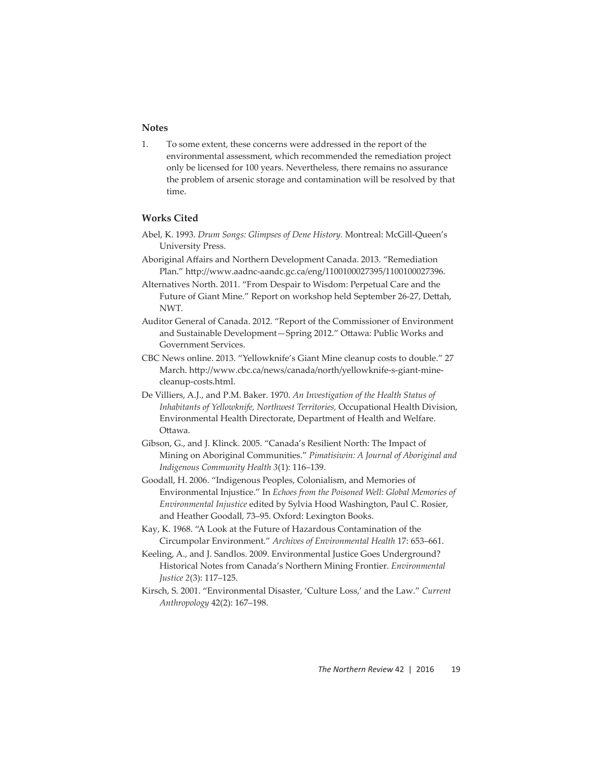### **Notes**

1. To some extent, these concerns were addressed in the report of the environmental assessment, which recommended the remediation project only be licensed for 100 years. Nevertheless, there remains no assurance the problem of arsenic storage and contamination will be resolved by that time.

## **Works Cited**

- Abel, K. 1993. *Drum Songs: Glimpses of Dene History.* Montreal: McGill-Queen's University Press.
- Aboriginal Affairs and Northern Development Canada. 2013. "Remediation Plan." http://www.aadnc-aandc.gc.ca/eng/1100100027395/1100100027396.
- Alternatives North. 2011. "From Despair to Wisdom: Perpetual Care and the Future of Giant Mine." Report on workshop held September 26-27, Dettah, NWT.
- Auditor General of Canada. 2012. "Report of the Commissioner of Environment and Sustainable Development-Spring 2012." Ottawa: Public Works and Government Services.
- CBC News online. 2013. "Yellowknife's Giant Mine cleanup costs to double." 27 March. http://www.cbc.ca/news/canada/north/yellowknife-s-giant-minecleanup-costs.html.
- De Villiers, A.J., and P.M. Baker. 1970. *An Investigation of the Health Status of Inhabitants of Yellowknife, Northwest Territories,* Occupational Health Division, Environmental Health Directorate, Department of Health and Welfare. Ottawa.
- Gibson, G., and J. Klinck. 2005. "Canada's Resilient North: The Impact of Mining on Aboriginal Communities." *Pimatisiwin: A Journal of Aboriginal and Indigenous Community Health 3*(1): 116–139.
- Goodall, H. 2006. "Indigenous Peoples, Colonialism, and Memories of Environmental Injustice." In *Echoes from the Poisoned Well: Global Memories of Environmental Injustice* edited by Sylvia Hood Washington, Paul C. Rosier, and Heather Goodall*,* 73–95. Oxford: Lexington Books.
- Kay, K. 1968. "A Look at the Future of Hazardous Contamination of the Circumpolar Environment." *Archives of Environmental Health* 17: 653–661.
- Keeling, A., and J. Sandlos. 2009. Environmental Justice Goes Underground? Historical Notes from Canada's Northern Mining Frontier. *Environmental Justice 2*(3): 117–125.
- Kirsch, S. 2001. "Environmental Disaster, 'Culture Loss,' and the Law." *Current Anthropology* 42(2): 167–198.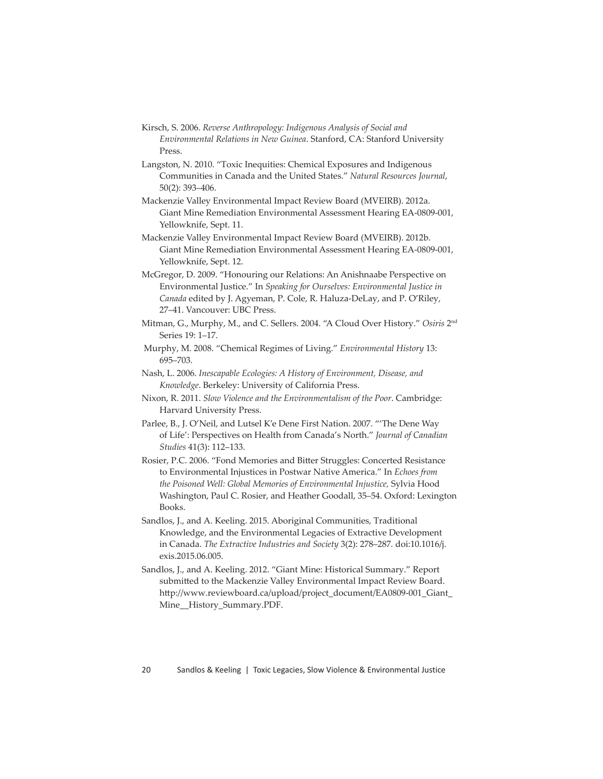Kirsch, S. 2006. *Reverse Anthropology: Indigenous Analysis of Social and Environmental Relations in New Guinea*. Stanford, CA: Stanford University Press.

Langston, N. 2010. "Toxic Inequities: Chemical Exposures and Indigenous Communities in Canada and the United States." *Natural Resources Journal*, 50(2): 393–406.

Mackenzie Valley Environmental Impact Review Board (MVEIRB). 2012a. Giant Mine Remediation Environmental Assessment Hearing EA-0809-001, Yellowknife, Sept. 11.

- Mackenzie Valley Environmental Impact Review Board (MVEIRB). 2012b. Giant Mine Remediation Environmental Assessment Hearing EA-0809-001, Yellowknife, Sept. 12.
- McGregor, D. 2009. "Honouring our Relations: An Anishnaabe Perspective on Environmental Justice." In *Speaking for Ourselves: Environmental Justice in Canada* edited by J. Agyeman, P. Cole, R. Haluza-DeLay, and P. O'Riley, 27–41. Vancouver: UBC Press.
- Mitman, G., Murphy, M., and C. Sellers. 2004. "A Cloud Over History." *Osiris* 2nd Series 19: 1–17.
- Murphy, M. 2008. "Chemical Regimes of Living." *Environmental History* 13: 695–703.
- Nash, L. 2006. *Inescapable Ecologies: A History of Environment, Disease, and Knowledge*. Berkeley: University of California Press.
- Nixon, R. 2011. *Slow Violence and the Environmentalism of the Poor*. Cambridge: Harvard University Press.
- Parlee, B., J. O'Neil, and Lutsel K'e Dene First Nation. 2007. "'The Dene Way of Life': Perspectives on Health from Canada's North." *Journal of Canadian Studies* 41(3): 112–133.
- Rosier, P.C. 2006. "Fond Memories and Bitter Struggles: Concerted Resistance to Environmental Injustices in Postwar Native America." In *Echoes from the Poisoned Well: Global Memories of Environmental Injustice,* Sylvia Hood Washington, Paul C. Rosier, and Heather Goodall, 35–54. Oxford: Lexington Books.
- Sandlos, J., and A. Keeling. 2015. Aboriginal Communities, Traditional Knowledge, and the Environmental Legacies of Extractive Development in Canada. *The Extractive Industries and Society* 3(2): 278–287*.* doi:10.1016/j. exis.2015.06.005.
- Sandlos, J., and A. Keeling. 2012. "Giant Mine: Historical Summary." Report submitted to the Mackenzie Valley Environmental Impact Review Board. http://www.reviewboard.ca/upload/project\_document/EA0809-001\_Giant\_ Mine\_\_History\_Summary.PDF.